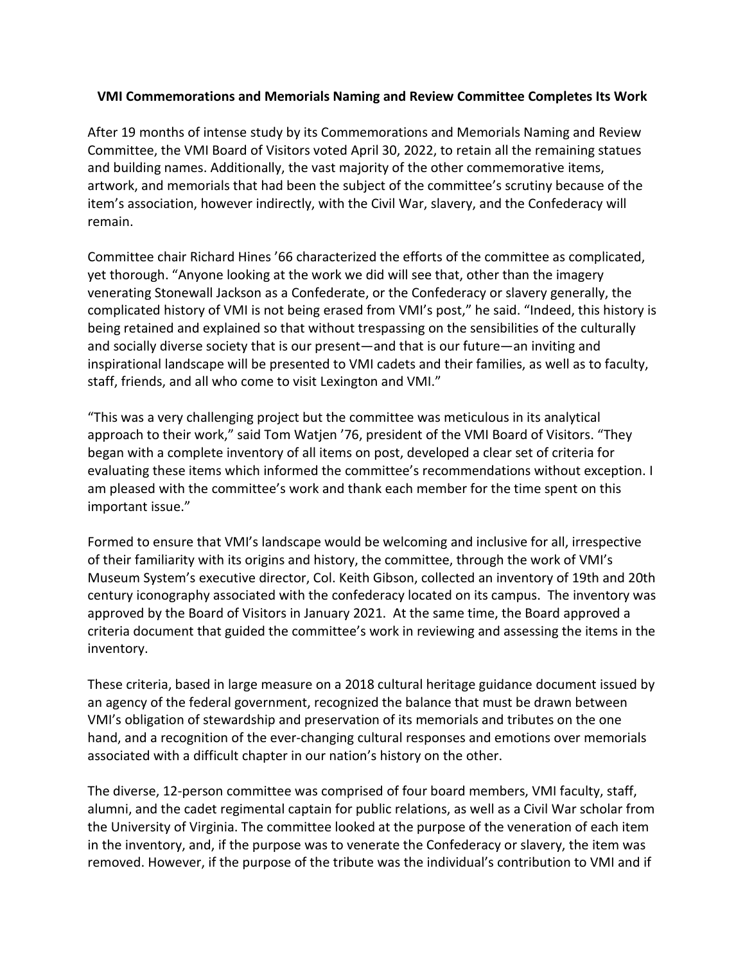## **VMI Commemorations and Memorials Naming and Review Committee Completes Its Work**

After 19 months of intense study by its Commemorations and Memorials Naming and Review Committee, the VMI Board of Visitors voted April 30, 2022, to retain all the remaining statues and building names. Additionally, the vast majority of the other commemorative items, artwork, and memorials that had been the subject of the committee's scrutiny because of the item's association, however indirectly, with the Civil War, slavery, and the Confederacy will remain.

Committee chair Richard Hines '66 characterized the efforts of the committee as complicated, yet thorough. "Anyone looking at the work we did will see that, other than the imagery venerating Stonewall Jackson as a Confederate, or the Confederacy or slavery generally, the complicated history of VMI is not being erased from VMI's post," he said. "Indeed, this history is being retained and explained so that without trespassing on the sensibilities of the culturally and socially diverse society that is our present—and that is our future—an inviting and inspirational landscape will be presented to VMI cadets and their families, as well as to faculty, staff, friends, and all who come to visit Lexington and VMI."

"This was a very challenging project but the committee was meticulous in its analytical approach to their work," said Tom Watjen '76, president of the VMI Board of Visitors. "They began with a complete inventory of all items on post, developed a clear set of criteria for evaluating these items which informed the committee's recommendations without exception. I am pleased with the committee's work and thank each member for the time spent on this important issue."

Formed to ensure that VMI's landscape would be welcoming and inclusive for all, irrespective of their familiarity with its origins and history, the committee, through the work of VMI's Museum System's executive director, Col. Keith Gibson, collected an inventory of 19th and 20th century iconography associated with the confederacy located on its campus. The inventory was approved by the Board of Visitors in January 2021. At the same time, the Board approved a criteria document that guided the committee's work in reviewing and assessing the items in the inventory.

These criteria, based in large measure on a 2018 cultural heritage guidance document issued by an agency of the federal government, recognized the balance that must be drawn between VMI's obligation of stewardship and preservation of its memorials and tributes on the one hand, and a recognition of the ever-changing cultural responses and emotions over memorials associated with a difficult chapter in our nation's history on the other.

The diverse, 12-person committee was comprised of four board members, VMI faculty, staff, alumni, and the cadet regimental captain for public relations, as well as a Civil War scholar from the University of Virginia. The committee looked at the purpose of the veneration of each item in the inventory, and, if the purpose was to venerate the Confederacy or slavery, the item was removed. However, if the purpose of the tribute was the individual's contribution to VMI and if